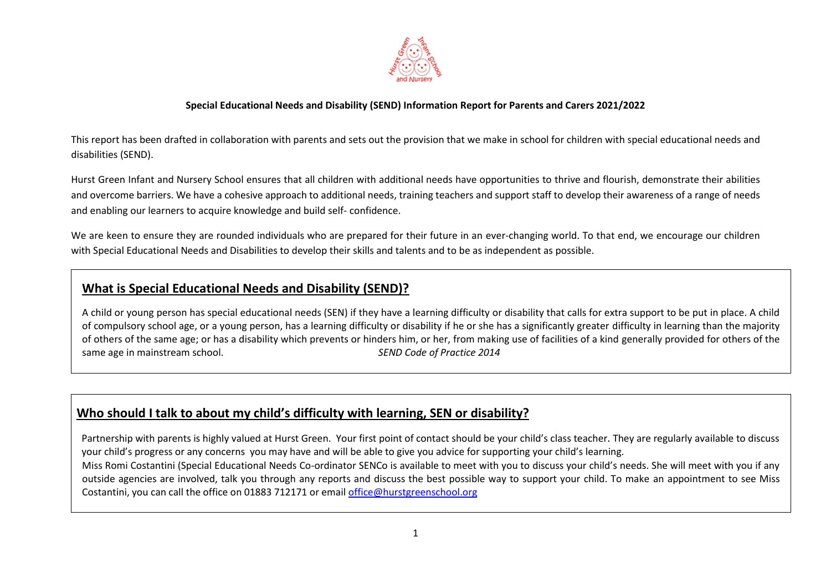

This report has been drafted in collaboration with parents and sets out the provision that we make in school for children with special educational needs and disabilities (SEND).

Hurst Green Infant and Nursery School ensures that all children with additional needs have opportunities to thrive and flourish, demonstrate their abilities and overcome barriers. We have a cohesive approach to additional needs, training teachers and support staff to develop their awareness of a range of needs and enabling our learners to acquire knowledge and build self- confidence.

We are keen to ensure they are rounded individuals who are prepared for their future in an ever-changing world. To that end, we encourage our children with Special Educational Needs and Disabilities to develop their skills and talents and to be as independent as possible.

## **What is Special Educational Needs and Disability (SEND)?**

A child or young person has special educational needs (SEN) if they have a learning difficulty or disability that calls for extra support to be put in place. A child of compulsory school age, or a young person, has a learning difficulty or disability if he or she has a significantly greater difficulty in learning than the majority of others of the same age; or has a disability which prevents or hinders him, or her, from making use of facilities of a kind generally provided for others of the same age in mainstream school. *SEND Code of Practice 2014* 

# **Who should I talk to about my child's difficulty with learning, SEN or disability?**

 Partnership with parents is highly valued at Hurst Green. Your first point of contact should be your child's class teacher. They are regularly available to discuss your child's progress or any concerns you may have and will be able to give you advice for supporting your child's learning. Miss Romi Costantini (Special Educational Needs Co-ordinator SENCo is available to meet with you to discuss your child's needs. She will meet with you if any outside agencies are involved, talk you through any reports and discuss the best possible way to support your child. To make an appointment to see Miss Costantini, you can call the office on 01883 712171 or email [office@hurstgreenschool.org](mailto:office@hurstgreenschool.org)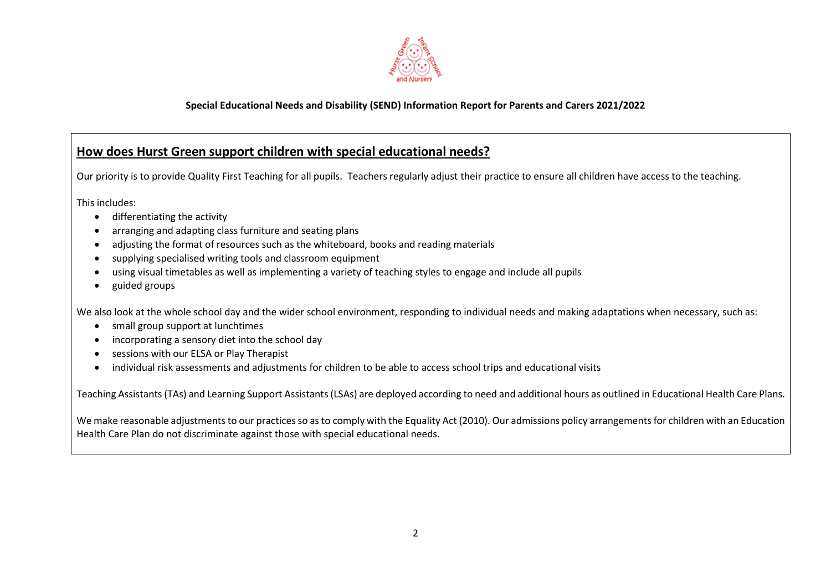

# **How does Hurst Green support children with special educational needs?**

Our priority is to provide Quality First Teaching for all pupils. Teachers regularly adjust their practice to ensure all children have access to the teaching.

This includes:

- differentiating the activity
- arranging and adapting class furniture and seating plans
- adjusting the format of resources such as the whiteboard, books and reading materials
- supplying specialised writing tools and classroom equipment
- using visual timetables as well as implementing a variety of teaching styles to engage and include all pupils
- guided groups

We also look at the whole school day and the wider school environment, responding to individual needs and making adaptations when necessary, such as:

- small group support at lunchtimes
- incorporating a sensory diet into the school day
- sessions with our ELSA or Play Therapist
- individual risk assessments and adjustments for children to be able to access school trips and educational visits

Teaching Assistants (TAs) and Learning Support Assistants (LSAs) are deployed according to need and additional hours as outlined in Educational Health Care Plans.

We make reasonable adjustments to our practices so as to comply with the Equality Act (2010). Our admissions policy arrangements for children with an Education Health Care Plan do not discriminate against those with special educational needs.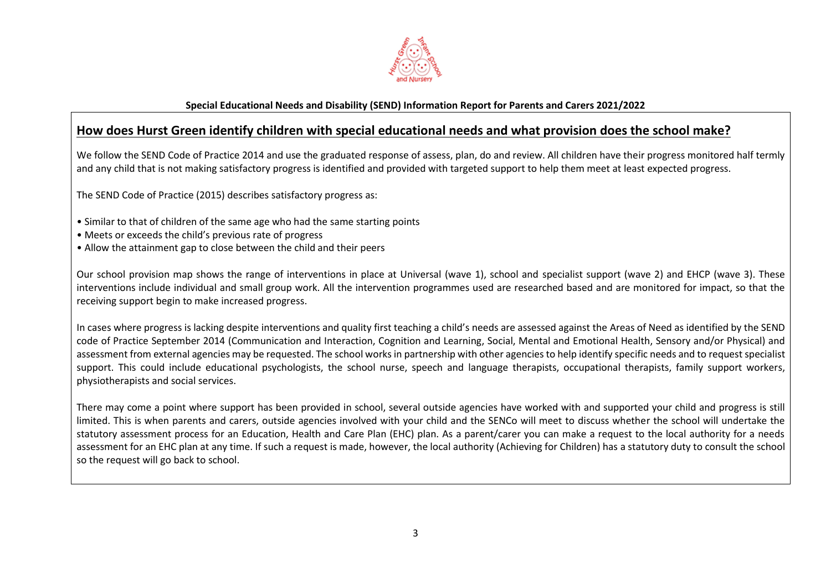

## **How does Hurst Green identify children with special educational needs and what provision does the school make?**

We follow the SEND Code of Practice 2014 and use the graduated response of assess, plan, do and review. All children have their progress monitored half termly and any child that is not making satisfactory progress is identified and provided with targeted support to help them meet at least expected progress.

The SEND Code of Practice (2015) describes satisfactory progress as:

- Similar to that of children of the same age who had the same starting points
- Meets or exceeds the child's previous rate of progress
- Allow the attainment gap to close between the child and their peers

Our school provision map shows the range of interventions in place at Universal (wave 1), school and specialist support (wave 2) and EHCP (wave 3). These interventions include individual and small group work. All the intervention programmes used are researched based and are monitored for impact, so that the receiving support begin to make increased progress.

In cases where progress is lacking despite interventions and quality first teaching a child's needs are assessed against the Areas of Need as identified by the SEND code of Practice September 2014 (Communication and Interaction, Cognition and Learning, Social, Mental and Emotional Health, Sensory and/or Physical) and assessment from external agencies may be requested. The school works in partnership with other agencies to help identify specific needs and to request specialist support. This could include educational psychologists, the school nurse, speech and language therapists, occupational therapists, family support workers, physiotherapists and social services.

There may come a point where support has been provided in school, several outside agencies have worked with and supported your child and progress is still limited. This is when parents and carers, outside agencies involved with your child and the SENCo will meet to discuss whether the school will undertake the statutory assessment process for an Education, Health and Care Plan (EHC) plan. As a parent/carer you can make a request to the local authority for a needs assessment for an EHC plan at any time. If such a request is made, however, the local authority (Achieving for Children) has a statutory duty to consult the school so the request will go back to school.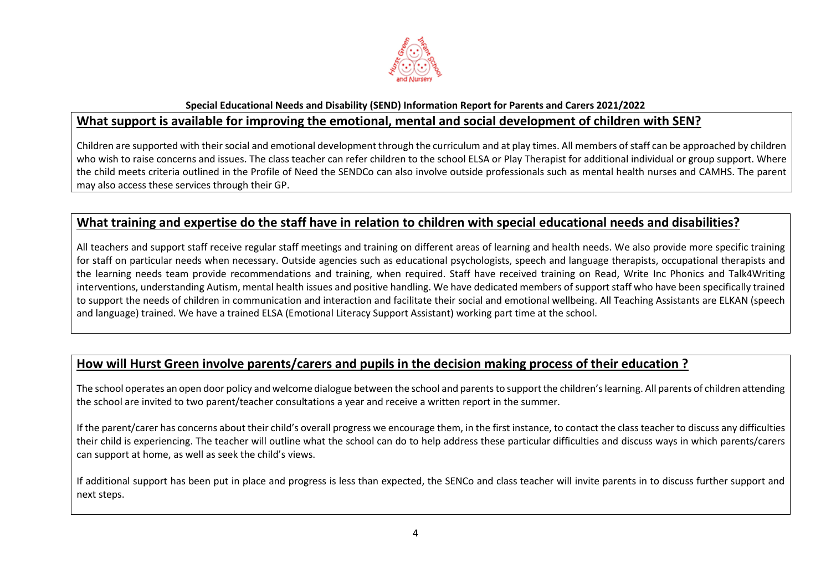

## **Special Educational Needs and Disability (SEND) Information Report for Parents and Carers 2021/2022 What support is available for improving the emotional, mental and social development of children with SEN?**

Children are supported with their social and emotional development through the curriculum and at play times. All members of staff can be approached by children who wish to raise concerns and issues. The class teacher can refer children to the school ELSA or Play Therapist for additional individual or group support. Where the child meets criteria outlined in the Profile of Need the SENDCo can also involve outside professionals such as mental health nurses and CAMHS. The parent may also access these services through their GP.

## **What training and expertise do the staff have in relation to children with special educational needs and disabilities?**

All teachers and support staff receive regular staff meetings and training on different areas of learning and health needs. We also provide more specific training for staff on particular needs when necessary. Outside agencies such as educational psychologists, speech and language therapists, occupational therapists and the learning needs team provide recommendations and training, when required. Staff have received training on Read, Write Inc Phonics and Talk4Writing interventions, understanding Autism, mental health issues and positive handling. We have dedicated members of support staff who have been specifically trained to support the needs of children in communication and interaction and facilitate their social and emotional wellbeing. All Teaching Assistants are ELKAN (speech and language) trained. We have a trained ELSA (Emotional Literacy Support Assistant) working part time at the school.

## **How will Hurst Green involve parents/carers and pupils in the decision making process of their education ?**

The school operates an open door policy and welcome dialogue between the school and parents to support the children's learning. All parents of children attending the school are invited to two parent/teacher consultations a year and receive a written report in the summer.

If the parent/carer has concerns about their child's overall progress we encourage them, in the first instance, to contact the class teacher to discuss any difficulties their child is experiencing. The teacher will outline what the school can do to help address these particular difficulties and discuss ways in which parents/carers can support at home, as well as seek the child's views.

If additional support has been put in place and progress is less than expected, the SENCo and class teacher will invite parents in to discuss further support and next steps.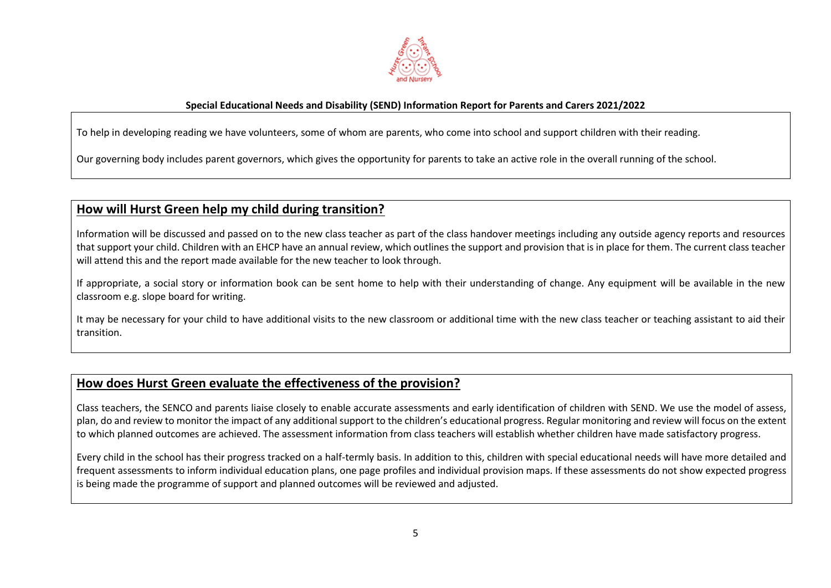

To help in developing reading we have volunteers, some of whom are parents, who come into school and support children with their reading.

Our governing body includes parent governors, which gives the opportunity for parents to take an active role in the overall running of the school.

# **How will Hurst Green help my child during transition?**

ı

Information will be discussed and passed on to the new class teacher as part of the class handover meetings including any outside agency reports and resources that support your child. Children with an EHCP have an annual review, which outlines the support and provision that is in place for them. The current class teacher will attend this and the report made available for the new teacher to look through.

If appropriate, a social story or information book can be sent home to help with their understanding of change. Any equipment will be available in the new classroom e.g. slope board for writing.

It may be necessary for your child to have additional visits to the new classroom or additional time with the new class teacher or teaching assistant to aid their transition.

## **How does Hurst Green evaluate the effectiveness of the provision?**

Class teachers, the SENCO and parents liaise closely to enable accurate assessments and early identification of children with SEND. We use the model of assess, plan, do and review to monitor the impact of any additional support to the children's educational progress. Regular monitoring and review will focus on the extent to which planned outcomes are achieved. The assessment information from class teachers will establish whether children have made satisfactory progress.

Every child in the school has their progress tracked on a half-termly basis. In addition to this, children with special educational needs will have more detailed and frequent assessments to inform individual education plans, one page profiles and individual provision maps. If these assessments do not show expected progress is being made the programme of support and planned outcomes will be reviewed and adjusted.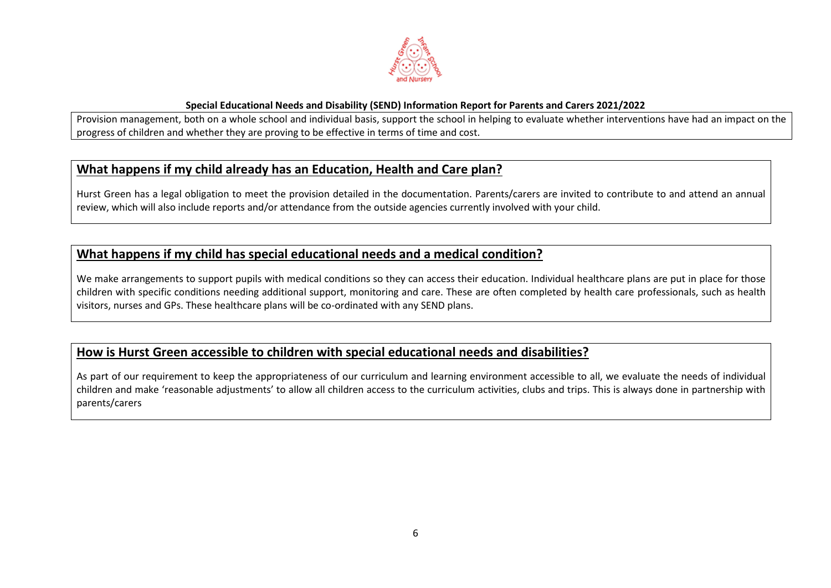

Provision management, both on a whole school and individual basis, support the school in helping to evaluate whether interventions have had an impact on the progress of children and whether they are proving to be effective in terms of time and cost.

## **What happens if my child already has an Education, Health and Care plan?**

Hurst Green has a legal obligation to meet the provision detailed in the documentation. Parents/carers are invited to contribute to and attend an annual review, which will also include reports and/or attendance from the outside agencies currently involved with your child.

## **What happens if my child has special educational needs and a medical condition?**

We make arrangements to support pupils with medical conditions so they can access their education. Individual healthcare plans are put in place for those children with specific conditions needing additional support, monitoring and care. These are often completed by health care professionals, such as health visitors, nurses and GPs. These healthcare plans will be co-ordinated with any SEND plans.

## **How is Hurst Green accessible to children with special educational needs and disabilities?**

As part of our requirement to keep the appropriateness of our curriculum and learning environment accessible to all, we evaluate the needs of individual children and make 'reasonable adjustments' to allow all children access to the curriculum activities, clubs and trips. This is always done in partnership with parents/carers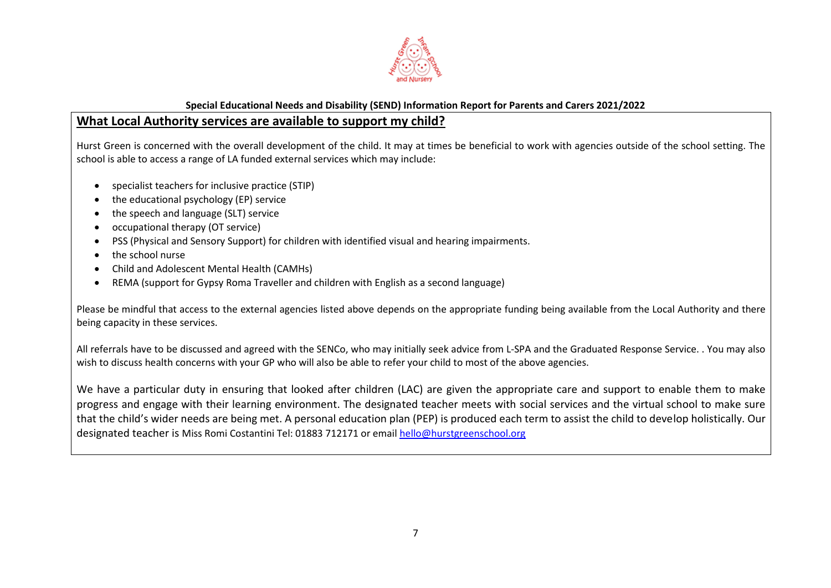

### **What Local Authority services are available to support my child?**

Hurst Green is concerned with the overall development of the child. It may at times be beneficial to work with agencies outside of the school setting. The school is able to access a range of LA funded external services which may include:

- specialist teachers for inclusive practice (STIP)
- the educational psychology (EP) service
- the speech and language (SLT) service
- occupational therapy (OT service)
- PSS (Physical and Sensory Support) for children with identified visual and hearing impairments.
- the school nurse
- Child and Adolescent Mental Health (CAMHs)
- REMA (support for Gypsy Roma Traveller and children with English as a second language)

Please be mindful that access to the external agencies listed above depends on the appropriate funding being available from the Local Authority and there being capacity in these services.

All referrals have to be discussed and agreed with the SENCo, who may initially seek advice from L-SPA and the Graduated Response Service. . You may also wish to discuss health concerns with your GP who will also be able to refer your child to most of the above agencies.

We have a particular duty in ensuring that looked after children (LAC) are given the appropriate care and support to enable them to make progress and engage with their learning environment. The designated teacher meets with social services and the virtual school to make sure that the child's wider needs are being met. A personal education plan (PEP) is produced each term to assist the child to develop holistically. Our designated teacher is Miss Romi Costantini Tel: 01883 712171 or email [hello@hurstgreenschool.org](mailto:hello@hurstgreenschool.org)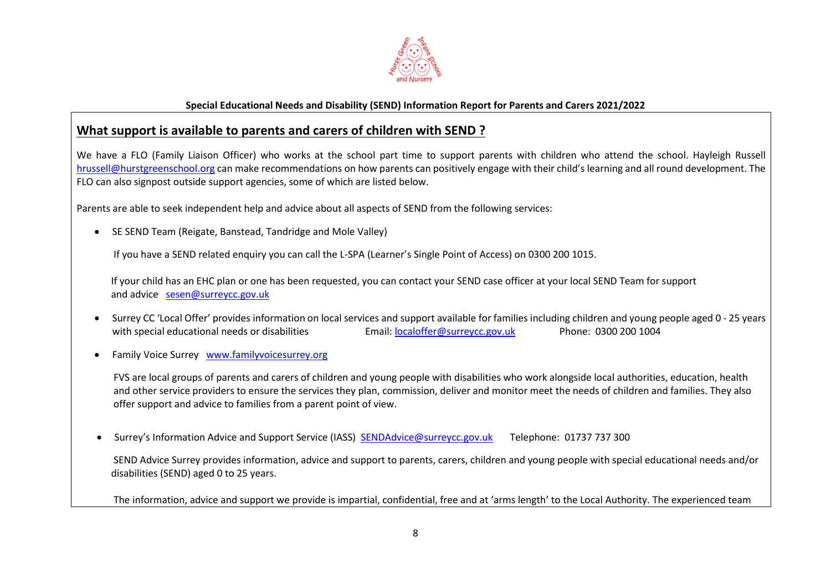

## **What support is available to parents and carers of children with SEND ?**

We have a FLO (Family Liaison Officer) who works at the school part time to support parents with children who attend the school. Hayleigh Russell [hrussell@hurstgreenschool.org](mailto:hrussell@hurstgreenschool.org) can make recommendations on how parents can positively engage with their child's learning and all round development. The FLO can also signpost outside support agencies, some of which are listed below.

Parents are able to seek independent help and advice about all aspects of SEND from the following services:

SE SEND Team (Reigate, Banstead, Tandridge and Mole Valley)

If you have a SEND related enquiry you can call the L-SPA (Learner's Single Point of Access) on 0300 200 1015.

 If your child has an EHC plan or one has been requested, you can contact your SEND case officer at your local SEND Team for support and advice [sesen@surreycc.gov.uk](mailto:sesen@surreycc.gov.uk)

- Surrey CC 'Local Offer' provides information on local services and support available for families including children and young people aged 0 25 years with special educational needs or disabilities Email: [localoffer@surreycc.gov.uk](mailto:localoffer@surreycc.gov.uk) Phone: 0300 200 1004
- Family Voice Surrey [www.familyvoicesurrey.org](http://www.familyvoicesurrey.org/)

 FVS are local groups of parents and carers of children and young people with disabilities who work alongside local authorities, education, health and other service providers to ensure the services they plan, commission, deliver and monitor meet the needs of children and families. They also offer support and advice to families from a parent point of view.

Surrey's Information Advice and Support Service (IASS) [SENDAdvice@surreycc.gov.uk](mailto:SENDAdvice@surreycc.gov.uk) Telephone: 01737 737 300

 SEND Advice Surrey provides information, advice and support to parents, carers, children and young people with special educational needs and/or disabilities (SEND) aged 0 to 25 years.

The information, advice and support we provide is impartial, confidential, free and at 'arms length' to the Local Authority. The experienced team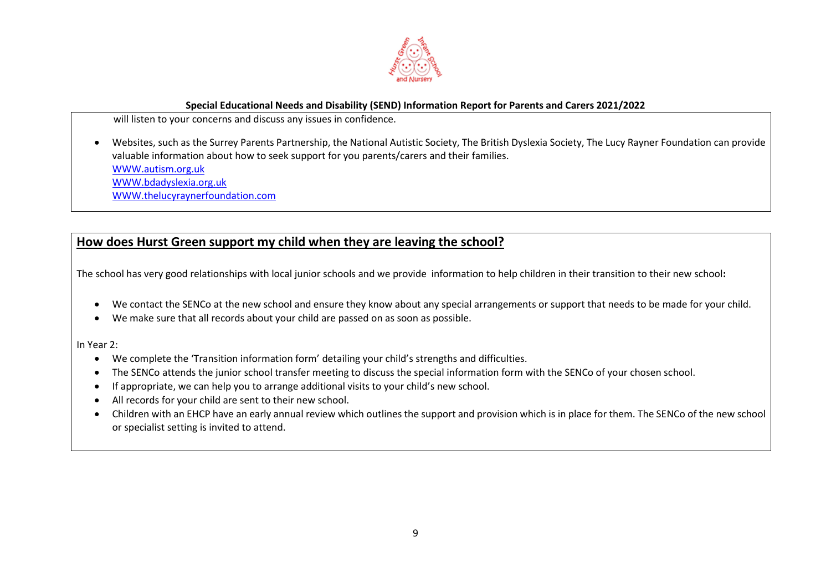

will listen to your concerns and discuss any issues in confidence.

 Websites, such as the Surrey Parents Partnership, the National Autistic Society, The British Dyslexia Society, The Lucy Rayner Foundation can provide valuable information about how to seek support for you parents/carers and their families.

[WWW.autism.org.uk](http://www.autism.org.uk/)

[WWW.bdadyslexia.org.uk](http://www.bdadyslexia.org.uk/)

[WWW.thelucyraynerfoundation.com](http://www.thelucyraynerfoundation.com/)

# **How does Hurst Green support my child when they are leaving the school?**

The school has very good relationships with local junior schools and we provide information to help children in their transition to their new school**:**

- We contact the SENCo at the new school and ensure they know about any special arrangements or support that needs to be made for your child.
- We make sure that all records about your child are passed on as soon as possible.

In Year 2:

- We complete the 'Transition information form' detailing your child's strengths and difficulties.
- The SENCo attends the junior school transfer meeting to discuss the special information form with the SENCo of your chosen school.
- If appropriate, we can help you to arrange additional visits to your child's new school.
- All records for your child are sent to their new school.
- Children with an EHCP have an early annual review which outlines the support and provision which is in place for them. The SENCo of the new school or specialist setting is invited to attend.